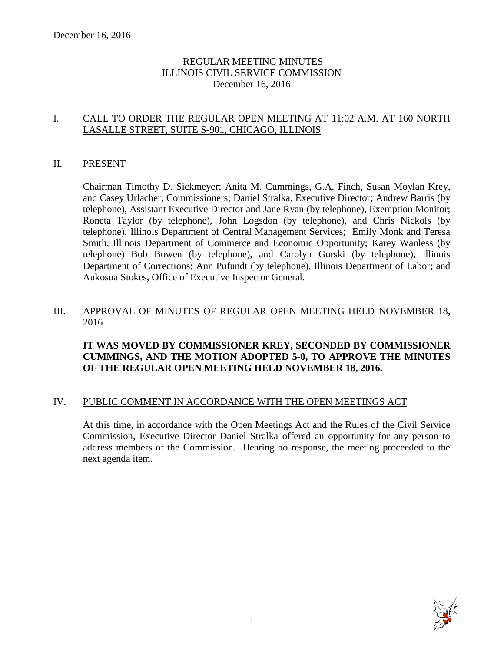# REGULAR MEETING MINUTES ILLINOIS CIVIL SERVICE COMMISSION December 16, 2016

# I. CALL TO ORDER THE REGULAR OPEN MEETING AT 11:02 A.M. AT 160 NORTH LASALLE STREET, SUITE S-901, CHICAGO, ILLINOIS

# II. PRESENT

Chairman Timothy D. Sickmeyer; Anita M. Cummings, G.A. Finch, Susan Moylan Krey, and Casey Urlacher, Commissioners; Daniel Stralka, Executive Director; Andrew Barris (by telephone), Assistant Executive Director and Jane Ryan (by telephone), Exemption Monitor; Roneta Taylor (by telephone), John Logsdon (by telephone), and Chris Nickols (by telephone), Illinois Department of Central Management Services; Emily Monk and Teresa Smith, Illinois Department of Commerce and Economic Opportunity; Karey Wanless (by telephone) Bob Bowen (by telephone), and Carolyn Gurski (by telephone), Illinois Department of Corrections; Ann Pufundt (by telephone), Illinois Department of Labor; and Aukosua Stokes, Office of Executive Inspector General.

#### III. APPROVAL OF MINUTES OF REGULAR OPEN MEETING HELD NOVEMBER 18, 2016

# **IT WAS MOVED BY COMMISSIONER KREY, SECONDED BY COMMISSIONER CUMMINGS, AND THE MOTION ADOPTED 5-0, TO APPROVE THE MINUTES OF THE REGULAR OPEN MEETING HELD NOVEMBER 18, 2016.**

# IV. PUBLIC COMMENT IN ACCORDANCE WITH THE OPEN MEETINGS ACT

At this time, in accordance with the Open Meetings Act and the Rules of the Civil Service Commission, Executive Director Daniel Stralka offered an opportunity for any person to address members of the Commission. Hearing no response, the meeting proceeded to the next agenda item.

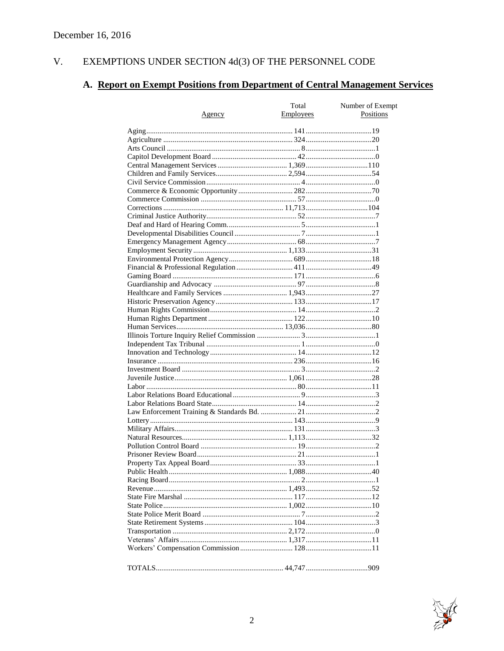#### $V<sub>r</sub>$ EXEMPTIONS UNDER SECTION 4d(3) OF THE PERSONNEL CODE

# A. Report on Exempt Positions from Department of Central Management Services

| <u>Agency</u> | Total<br>Employees | Number of Exempt<br>Positions |
|---------------|--------------------|-------------------------------|
|               |                    |                               |
|               |                    |                               |
|               |                    |                               |
|               |                    |                               |
|               |                    |                               |
|               |                    |                               |
|               |                    |                               |
|               |                    |                               |
|               |                    |                               |
|               |                    |                               |
|               |                    |                               |
|               |                    |                               |
|               |                    |                               |
|               |                    |                               |
|               |                    |                               |
|               |                    |                               |
|               |                    |                               |
|               |                    |                               |
|               |                    |                               |
|               |                    |                               |
|               |                    |                               |
|               |                    |                               |
|               |                    |                               |
|               |                    |                               |
|               |                    |                               |
|               |                    |                               |
|               |                    |                               |
|               |                    |                               |
|               |                    |                               |
|               |                    |                               |
|               |                    |                               |
|               |                    |                               |
|               |                    |                               |
|               |                    |                               |
|               |                    |                               |
|               |                    |                               |
|               |                    |                               |
|               |                    |                               |
|               |                    |                               |
|               |                    |                               |
|               |                    |                               |
|               |                    |                               |
|               |                    |                               |
|               |                    |                               |
|               |                    |                               |
|               |                    |                               |
|               |                    |                               |
|               |                    |                               |
|               |                    |                               |
|               |                    |                               |
|               |                    |                               |
|               |                    |                               |
|               |                    |                               |

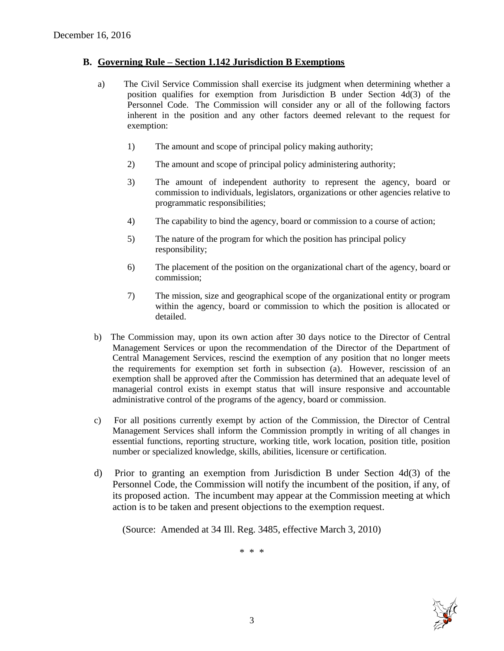#### **B. Governing Rule – Section 1.142 Jurisdiction B Exemptions**

- a) The Civil Service Commission shall exercise its judgment when determining whether a position qualifies for exemption from Jurisdiction B under Section 4d(3) of the Personnel Code. The Commission will consider any or all of the following factors inherent in the position and any other factors deemed relevant to the request for exemption:
	- 1) The amount and scope of principal policy making authority;
	- 2) The amount and scope of principal policy administering authority;
	- 3) The amount of independent authority to represent the agency, board or commission to individuals, legislators, organizations or other agencies relative to programmatic responsibilities;
	- 4) The capability to bind the agency, board or commission to a course of action;
	- 5) The nature of the program for which the position has principal policy responsibility;
	- 6) The placement of the position on the organizational chart of the agency, board or commission;
	- 7) The mission, size and geographical scope of the organizational entity or program within the agency, board or commission to which the position is allocated or detailed.
- b) The Commission may, upon its own action after 30 days notice to the Director of Central Management Services or upon the recommendation of the Director of the Department of Central Management Services, rescind the exemption of any position that no longer meets the requirements for exemption set forth in subsection (a). However, rescission of an exemption shall be approved after the Commission has determined that an adequate level of managerial control exists in exempt status that will insure responsive and accountable administrative control of the programs of the agency, board or commission.
- c) For all positions currently exempt by action of the Commission, the Director of Central Management Services shall inform the Commission promptly in writing of all changes in essential functions, reporting structure, working title, work location, position title, position number or specialized knowledge, skills, abilities, licensure or certification.
- d) Prior to granting an exemption from Jurisdiction B under Section 4d(3) of the Personnel Code, the Commission will notify the incumbent of the position, if any, of its proposed action. The incumbent may appear at the Commission meeting at which action is to be taken and present objections to the exemption request.

(Source: Amended at 34 Ill. Reg. 3485, effective March 3, 2010)

\* \* \*

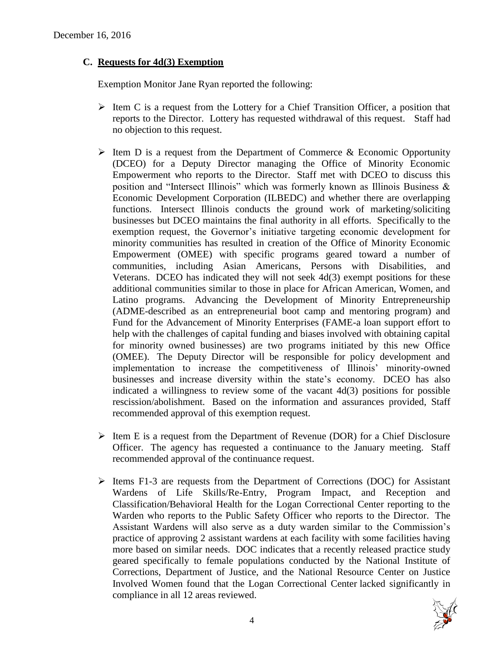# **C. Requests for 4d(3) Exemption**

Exemption Monitor Jane Ryan reported the following:

- $\triangleright$  Item C is a request from the Lottery for a Chief Transition Officer, a position that reports to the Director. Lottery has requested withdrawal of this request. Staff had no objection to this request.
- $\triangleright$  Item D is a request from the Department of Commerce & Economic Opportunity (DCEO) for a Deputy Director managing the Office of Minority Economic Empowerment who reports to the Director. Staff met with DCEO to discuss this position and "Intersect Illinois" which was formerly known as Illinois Business & Economic Development Corporation (ILBEDC) and whether there are overlapping functions. Intersect Illinois conducts the ground work of marketing/soliciting businesses but DCEO maintains the final authority in all efforts. Specifically to the exemption request, the Governor's initiative targeting economic development for minority communities has resulted in creation of the Office of Minority Economic Empowerment (OMEE) with specific programs geared toward a number of communities, including Asian Americans, Persons with Disabilities, and Veterans. DCEO has indicated they will not seek 4d(3) exempt positions for these additional communities similar to those in place for African American, Women, and Latino programs. Advancing the Development of Minority Entrepreneurship (ADME-described as an entrepreneurial boot camp and mentoring program) and Fund for the Advancement of Minority Enterprises (FAME-a loan support effort to help with the challenges of capital funding and biases involved with obtaining capital for minority owned businesses) are two programs initiated by this new Office (OMEE). The Deputy Director will be responsible for policy development and implementation to increase the competitiveness of Illinois' minority-owned businesses and increase diversity within the state's economy. DCEO has also indicated a willingness to review some of the vacant 4d(3) positions for possible rescission/abolishment. Based on the information and assurances provided, Staff recommended approval of this exemption request.
- $\triangleright$  Item E is a request from the Department of Revenue (DOR) for a Chief Disclosure Officer. The agency has requested a continuance to the January meeting. Staff recommended approval of the continuance request.
- $\triangleright$  Items F1-3 are requests from the Department of Corrections (DOC) for Assistant Wardens of Life Skills/Re-Entry, Program Impact, and Reception and Classification/Behavioral Health for the Logan Correctional Center reporting to the Warden who reports to the Public Safety Officer who reports to the Director. The Assistant Wardens will also serve as a duty warden similar to the Commission's practice of approving 2 assistant wardens at each facility with some facilities having more based on similar needs. DOC indicates that a recently released practice study geared specifically to female populations conducted by the National Institute of Corrections, Department of Justice, and the National Resource Center on Justice Involved Women found that the Logan Correctional Center lacked significantly in compliance in all 12 areas reviewed.

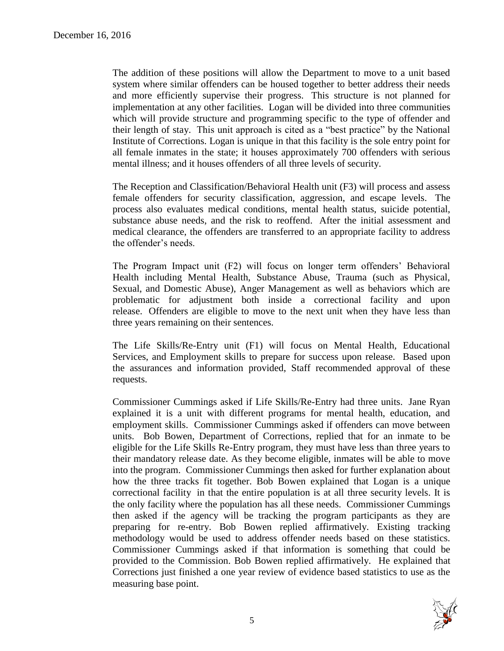The addition of these positions will allow the Department to move to a unit based system where similar offenders can be housed together to better address their needs and more efficiently supervise their progress. This structure is not planned for implementation at any other facilities. Logan will be divided into three communities which will provide structure and programming specific to the type of offender and their length of stay. This unit approach is cited as a "best practice" by the National Institute of Corrections. Logan is unique in that this facility is the sole entry point for all female inmates in the state; it houses approximately 700 offenders with serious mental illness; and it houses offenders of all three levels of security.

The Reception and Classification/Behavioral Health unit (F3) will process and assess female offenders for security classification, aggression, and escape levels. The process also evaluates medical conditions, mental health status, suicide potential, substance abuse needs, and the risk to reoffend. After the initial assessment and medical clearance, the offenders are transferred to an appropriate facility to address the offender's needs.

The Program Impact unit (F2) will focus on longer term offenders' Behavioral Health including Mental Health, Substance Abuse, Trauma (such as Physical, Sexual, and Domestic Abuse), Anger Management as well as behaviors which are problematic for adjustment both inside a correctional facility and upon release. Offenders are eligible to move to the next unit when they have less than three years remaining on their sentences.

The Life Skills/Re-Entry unit (F1) will focus on Mental Health, Educational Services, and Employment skills to prepare for success upon release. Based upon the assurances and information provided, Staff recommended approval of these requests.

Commissioner Cummings asked if Life Skills/Re-Entry had three units. Jane Ryan explained it is a unit with different programs for mental health, education, and employment skills. Commissioner Cummings asked if offenders can move between units. Bob Bowen, Department of Corrections, replied that for an inmate to be eligible for the Life Skills Re-Entry program, they must have less than three years to their mandatory release date. As they become eligible, inmates will be able to move into the program. Commissioner Cummings then asked for further explanation about how the three tracks fit together. Bob Bowen explained that Logan is a unique correctional facility in that the entire population is at all three security levels. It is the only facility where the population has all these needs. Commissioner Cummings then asked if the agency will be tracking the program participants as they are preparing for re-entry. Bob Bowen replied affirmatively. Existing tracking methodology would be used to address offender needs based on these statistics. Commissioner Cummings asked if that information is something that could be provided to the Commission. Bob Bowen replied affirmatively. He explained that Corrections just finished a one year review of evidence based statistics to use as the measuring base point.

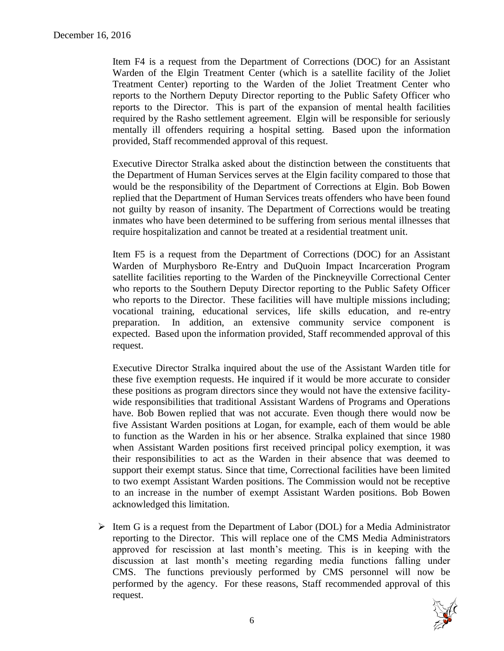Item F4 is a request from the Department of Corrections (DOC) for an Assistant Warden of the Elgin Treatment Center (which is a satellite facility of the Joliet Treatment Center) reporting to the Warden of the Joliet Treatment Center who reports to the Northern Deputy Director reporting to the Public Safety Officer who reports to the Director. This is part of the expansion of mental health facilities required by the Rasho settlement agreement. Elgin will be responsible for seriously mentally ill offenders requiring a hospital setting. Based upon the information provided, Staff recommended approval of this request.

Executive Director Stralka asked about the distinction between the constituents that the Department of Human Services serves at the Elgin facility compared to those that would be the responsibility of the Department of Corrections at Elgin. Bob Bowen replied that the Department of Human Services treats offenders who have been found not guilty by reason of insanity. The Department of Corrections would be treating inmates who have been determined to be suffering from serious mental illnesses that require hospitalization and cannot be treated at a residential treatment unit.

Item F5 is a request from the Department of Corrections (DOC) for an Assistant Warden of Murphysboro Re-Entry and DuQuoin Impact Incarceration Program satellite facilities reporting to the Warden of the Pinckneyville Correctional Center who reports to the Southern Deputy Director reporting to the Public Safety Officer who reports to the Director. These facilities will have multiple missions including; vocational training, educational services, life skills education, and re-entry preparation. In addition, an extensive community service component is expected. Based upon the information provided, Staff recommended approval of this request.

Executive Director Stralka inquired about the use of the Assistant Warden title for these five exemption requests. He inquired if it would be more accurate to consider these positions as program directors since they would not have the extensive facilitywide responsibilities that traditional Assistant Wardens of Programs and Operations have. Bob Bowen replied that was not accurate. Even though there would now be five Assistant Warden positions at Logan, for example, each of them would be able to function as the Warden in his or her absence. Stralka explained that since 1980 when Assistant Warden positions first received principal policy exemption, it was their responsibilities to act as the Warden in their absence that was deemed to support their exempt status. Since that time, Correctional facilities have been limited to two exempt Assistant Warden positions. The Commission would not be receptive to an increase in the number of exempt Assistant Warden positions. Bob Bowen acknowledged this limitation.

 $\triangleright$  Item G is a request from the Department of Labor (DOL) for a Media Administrator reporting to the Director. This will replace one of the CMS Media Administrators approved for rescission at last month's meeting. This is in keeping with the discussion at last month's meeting regarding media functions falling under CMS. The functions previously performed by CMS personnel will now be performed by the agency. For these reasons, Staff recommended approval of this request.

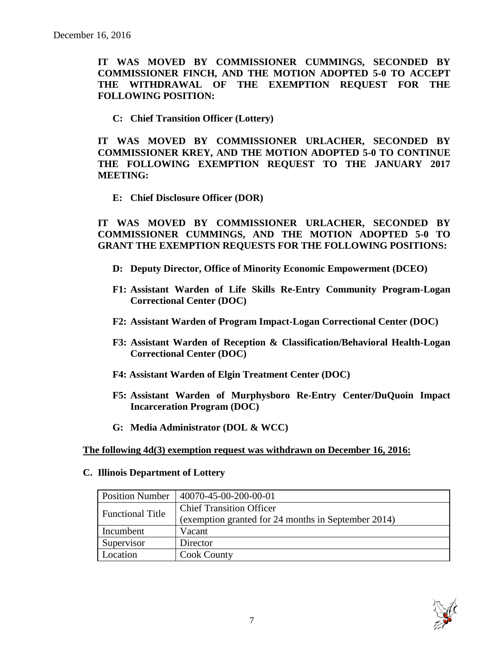**IT WAS MOVED BY COMMISSIONER CUMMINGS, SECONDED BY COMMISSIONER FINCH, AND THE MOTION ADOPTED 5-0 TO ACCEPT THE WITHDRAWAL OF THE EXEMPTION REQUEST FOR THE FOLLOWING POSITION:**

**C: Chief Transition Officer (Lottery)**

**IT WAS MOVED BY COMMISSIONER URLACHER, SECONDED BY COMMISSIONER KREY, AND THE MOTION ADOPTED 5-0 TO CONTINUE THE FOLLOWING EXEMPTION REQUEST TO THE JANUARY 2017 MEETING:**

**E: Chief Disclosure Officer (DOR)**

**IT WAS MOVED BY COMMISSIONER URLACHER, SECONDED BY COMMISSIONER CUMMINGS, AND THE MOTION ADOPTED 5-0 TO GRANT THE EXEMPTION REQUESTS FOR THE FOLLOWING POSITIONS:**

- **D: Deputy Director, Office of Minority Economic Empowerment (DCEO)**
- **F1: Assistant Warden of Life Skills Re-Entry Community Program-Logan Correctional Center (DOC)**
- **F2: Assistant Warden of Program Impact-Logan Correctional Center (DOC)**
- **F3: Assistant Warden of Reception & Classification/Behavioral Health-Logan Correctional Center (DOC)**
- **F4: Assistant Warden of Elgin Treatment Center (DOC)**
- **F5: Assistant Warden of Murphysboro Re-Entry Center/DuQuoin Impact Incarceration Program (DOC)**
- **G: Media Administrator (DOL & WCC)**

#### **The following 4d(3) exemption request was withdrawn on December 16, 2016:**

#### **C. Illinois Department of Lottery**

| <b>Position Number</b>  | $ 40070-45-00-200-00-01$                            |
|-------------------------|-----------------------------------------------------|
| <b>Functional Title</b> | <b>Chief Transition Officer</b>                     |
|                         | (exemption granted for 24 months in September 2014) |
| Incumbent               | Vacant                                              |
| Supervisor              | Director                                            |
| Location                | <b>Cook County</b>                                  |

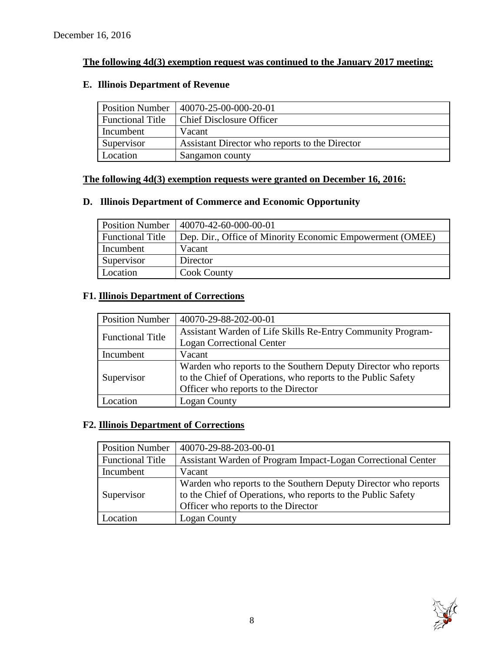# **The following 4d(3) exemption request was continued to the January 2017 meeting:**

# **E. Illinois Department of Revenue**

| <b>Position Number</b>  | $ 40070-25-00-000-20-01 $                      |
|-------------------------|------------------------------------------------|
| <b>Functional Title</b> | <b>Chief Disclosure Officer</b>                |
| Incumbent               | Vacant                                         |
| Supervisor              | Assistant Director who reports to the Director |
| Location                | Sangamon county                                |

# **The following 4d(3) exemption requests were granted on December 16, 2016:**

# **D. Illinois Department of Commerce and Economic Opportunity**

| <b>Position Number</b>  | 40070-42-60-000-00-01                                     |
|-------------------------|-----------------------------------------------------------|
| <b>Functional Title</b> | Dep. Dir., Office of Minority Economic Empowerment (OMEE) |
| Incumbent               | Vacant                                                    |
| Supervisor              | Director                                                  |
| Location                | <b>Cook County</b>                                        |

# **F1. Illinois Department of Corrections**

| <b>Position Number</b>  | 40070-29-88-202-00-01                                          |  |
|-------------------------|----------------------------------------------------------------|--|
| <b>Functional Title</b> | Assistant Warden of Life Skills Re-Entry Community Program-    |  |
|                         | <b>Logan Correctional Center</b>                               |  |
| Incumbent               | Vacant                                                         |  |
| Supervisor              | Warden who reports to the Southern Deputy Director who reports |  |
|                         | to the Chief of Operations, who reports to the Public Safety   |  |
|                         | Officer who reports to the Director                            |  |
| ocation                 | Logan County                                                   |  |

# **F2. Illinois Department of Corrections**

| <b>Position Number</b>  | 40070-29-88-203-00-01                                                                                                                                                 |
|-------------------------|-----------------------------------------------------------------------------------------------------------------------------------------------------------------------|
| <b>Functional Title</b> | Assistant Warden of Program Impact-Logan Correctional Center                                                                                                          |
| Incumbent               | Vacant                                                                                                                                                                |
| Supervisor              | Warden who reports to the Southern Deputy Director who reports<br>to the Chief of Operations, who reports to the Public Safety<br>Officer who reports to the Director |
| Location                | Logan County                                                                                                                                                          |

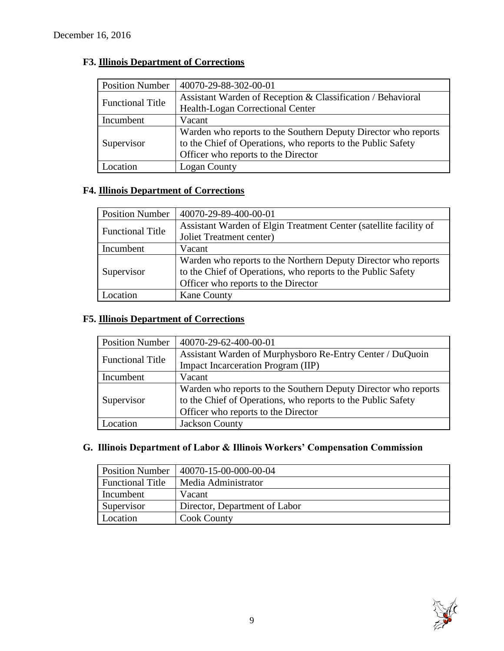| <b>Position Number</b>  | 40070-29-88-302-00-01                                          |
|-------------------------|----------------------------------------------------------------|
| <b>Functional Title</b> | Assistant Warden of Reception & Classification / Behavioral    |
|                         | Health-Logan Correctional Center                               |
| Incumbent               | Vacant                                                         |
|                         | Warden who reports to the Southern Deputy Director who reports |
| Supervisor              | to the Chief of Operations, who reports to the Public Safety   |
|                         | Officer who reports to the Director                            |
| ocation                 | <b>Logan County</b>                                            |

# **F3. Illinois Department of Corrections**

# **F4. Illinois Department of Corrections**

| <b>Position Number</b>  | 40070-29-89-400-00-01                                             |  |
|-------------------------|-------------------------------------------------------------------|--|
| <b>Functional Title</b> | Assistant Warden of Elgin Treatment Center (satellite facility of |  |
|                         | Joliet Treatment center)                                          |  |
| Incumbent               | Vacant                                                            |  |
|                         | Warden who reports to the Northern Deputy Director who reports    |  |
| Supervisor              | to the Chief of Operations, who reports to the Public Safety      |  |
|                         | Officer who reports to the Director                               |  |
| ocation                 | <b>Kane County</b>                                                |  |

# **F5. Illinois Department of Corrections**

| <b>Position Number</b>  | 40070-29-62-400-00-01                                                                                                                                                 |
|-------------------------|-----------------------------------------------------------------------------------------------------------------------------------------------------------------------|
| <b>Functional Title</b> | Assistant Warden of Murphysboro Re-Entry Center / DuQuoin<br>Impact Incarceration Program (IIP)                                                                       |
| Incumbent               | Vacant                                                                                                                                                                |
| Supervisor              | Warden who reports to the Southern Deputy Director who reports<br>to the Chief of Operations, who reports to the Public Safety<br>Officer who reports to the Director |
| Location                | <b>Jackson County</b>                                                                                                                                                 |

# **G. Illinois Department of Labor & Illinois Workers' Compensation Commission**

| <b>Position Number</b>  | 40070-15-00-000-00-04         |
|-------------------------|-------------------------------|
| <b>Functional Title</b> | Media Administrator           |
| Incumbent               | Vacant                        |
| Supervisor              | Director, Department of Labor |
| Location                | <b>Cook County</b>            |

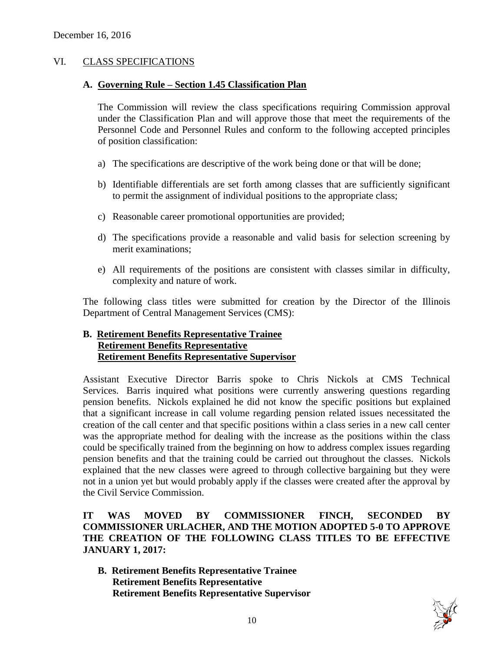#### VI. CLASS SPECIFICATIONS

#### **A. Governing Rule – Section 1.45 Classification Plan**

The Commission will review the class specifications requiring Commission approval under the Classification Plan and will approve those that meet the requirements of the Personnel Code and Personnel Rules and conform to the following accepted principles of position classification:

- a) The specifications are descriptive of the work being done or that will be done;
- b) Identifiable differentials are set forth among classes that are sufficiently significant to permit the assignment of individual positions to the appropriate class;
- c) Reasonable career promotional opportunities are provided;
- d) The specifications provide a reasonable and valid basis for selection screening by merit examinations;
- e) All requirements of the positions are consistent with classes similar in difficulty, complexity and nature of work.

The following class titles were submitted for creation by the Director of the Illinois Department of Central Management Services (CMS):

#### **B. Retirement Benefits Representative Trainee Retirement Benefits Representative Retirement Benefits Representative Supervisor**

Assistant Executive Director Barris spoke to Chris Nickols at CMS Technical Services. Barris inquired what positions were currently answering questions regarding pension benefits. Nickols explained he did not know the specific positions but explained that a significant increase in call volume regarding pension related issues necessitated the creation of the call center and that specific positions within a class series in a new call center was the appropriate method for dealing with the increase as the positions within the class could be specifically trained from the beginning on how to address complex issues regarding pension benefits and that the training could be carried out throughout the classes. Nickols explained that the new classes were agreed to through collective bargaining but they were not in a union yet but would probably apply if the classes were created after the approval by the Civil Service Commission.

**IT WAS MOVED BY COMMISSIONER FINCH, SECONDED BY COMMISSIONER URLACHER, AND THE MOTION ADOPTED 5-0 TO APPROVE THE CREATION OF THE FOLLOWING CLASS TITLES TO BE EFFECTIVE JANUARY 1, 2017:**

**B. Retirement Benefits Representative Trainee Retirement Benefits Representative Retirement Benefits Representative Supervisor**

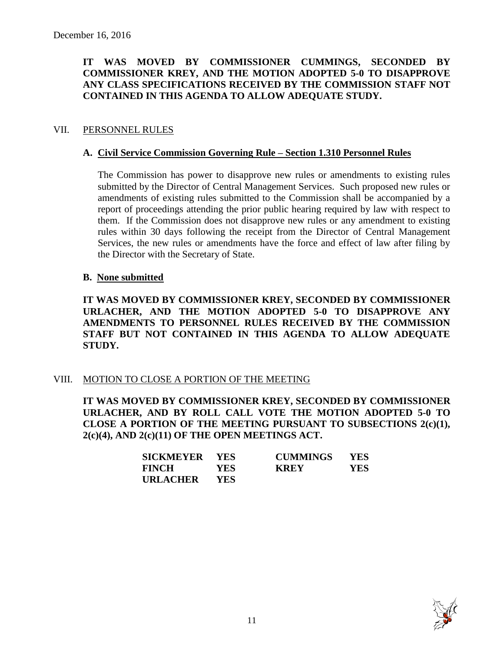# **IT WAS MOVED BY COMMISSIONER CUMMINGS, SECONDED BY COMMISSIONER KREY, AND THE MOTION ADOPTED 5-0 TO DISAPPROVE ANY CLASS SPECIFICATIONS RECEIVED BY THE COMMISSION STAFF NOT CONTAINED IN THIS AGENDA TO ALLOW ADEQUATE STUDY.**

# VII. PERSONNEL RULES

### **A. Civil Service Commission Governing Rule – Section 1.310 Personnel Rules**

The Commission has power to disapprove new rules or amendments to existing rules submitted by the Director of Central Management Services. Such proposed new rules or amendments of existing rules submitted to the Commission shall be accompanied by a report of proceedings attending the prior public hearing required by law with respect to them. If the Commission does not disapprove new rules or any amendment to existing rules within 30 days following the receipt from the Director of Central Management Services, the new rules or amendments have the force and effect of law after filing by the Director with the Secretary of State.

#### **B. None submitted**

**IT WAS MOVED BY COMMISSIONER KREY, SECONDED BY COMMISSIONER URLACHER, AND THE MOTION ADOPTED 5-0 TO DISAPPROVE ANY AMENDMENTS TO PERSONNEL RULES RECEIVED BY THE COMMISSION STAFF BUT NOT CONTAINED IN THIS AGENDA TO ALLOW ADEQUATE STUDY.** 

# VIII. MOTION TO CLOSE A PORTION OF THE MEETING

**IT WAS MOVED BY COMMISSIONER KREY, SECONDED BY COMMISSIONER URLACHER, AND BY ROLL CALL VOTE THE MOTION ADOPTED 5-0 TO CLOSE A PORTION OF THE MEETING PURSUANT TO SUBSECTIONS 2(c)(1), 2(c)(4), AND 2(c)(11) OF THE OPEN MEETINGS ACT.**

| SICKMEYER YES |            | <b>CUMMINGS</b> | <b>YES</b> |
|---------------|------------|-----------------|------------|
| <b>FINCH</b>  | YES-       | <b>KREY</b>     | <b>YES</b> |
| URLACHER      | <b>YES</b> |                 |            |

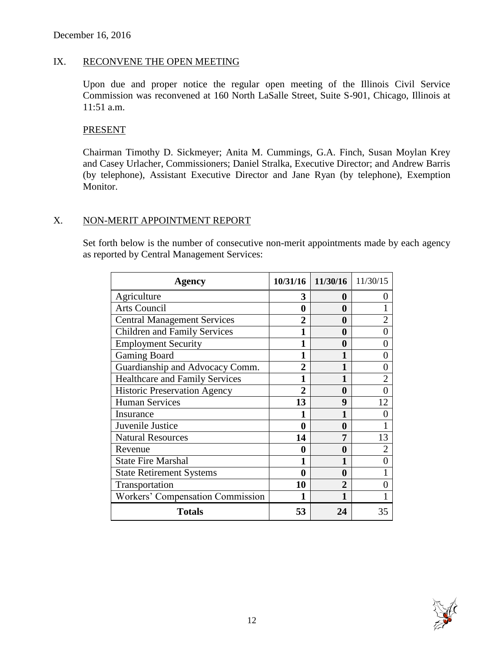# IX. RECONVENE THE OPEN MEETING

Upon due and proper notice the regular open meeting of the Illinois Civil Service Commission was reconvened at 160 North LaSalle Street, Suite S-901, Chicago, Illinois at 11:51 a.m.

#### PRESENT

Chairman Timothy D. Sickmeyer; Anita M. Cummings, G.A. Finch, Susan Moylan Krey and Casey Urlacher, Commissioners; Daniel Stralka, Executive Director; and Andrew Barris (by telephone), Assistant Executive Director and Jane Ryan (by telephone), Exemption Monitor.

#### X. NON-MERIT APPOINTMENT REPORT

Set forth below is the number of consecutive non-merit appointments made by each agency as reported by Central Management Services:

| <b>Agency</b>                         | 10/31/16    | 11/30/16 11/30/15 |                |
|---------------------------------------|-------------|-------------------|----------------|
| Agriculture                           | 3           | 0                 | $\mathbf{0}$   |
| <b>Arts Council</b>                   | 0           | 0                 |                |
| <b>Central Management Services</b>    | 2           | 0                 | $\overline{2}$ |
| <b>Children and Family Services</b>   |             | 0                 | $\overline{0}$ |
| <b>Employment Security</b>            |             | 0                 | 0              |
| <b>Gaming Board</b>                   | 1           | 1                 | $\overline{0}$ |
| Guardianship and Advocacy Comm.       | 2           | 1                 | 0              |
| <b>Healthcare and Family Services</b> |             | 1                 | $\overline{2}$ |
| <b>Historic Preservation Agency</b>   | $\mathbf 2$ | $\bf{0}$          | $\overline{0}$ |
| <b>Human Services</b>                 | 13          | 9                 | 12             |
| Insurance                             |             | 1                 | 0              |
| Juvenile Justice                      | $\bf{0}$    | 0                 | 1              |
| <b>Natural Resources</b>              | 14          | 7                 | 13             |
| Revenue                               | 0           | 0                 | $\overline{2}$ |
| <b>State Fire Marshal</b>             |             | 1                 | $\theta$       |
| <b>State Retirement Systems</b>       | 0           | 0                 |                |
| Transportation                        | 10          | $\overline{2}$    | $\overline{0}$ |
| Workers' Compensation Commission      |             |                   |                |
| <b>Totals</b>                         | 53          | 24                | 35             |

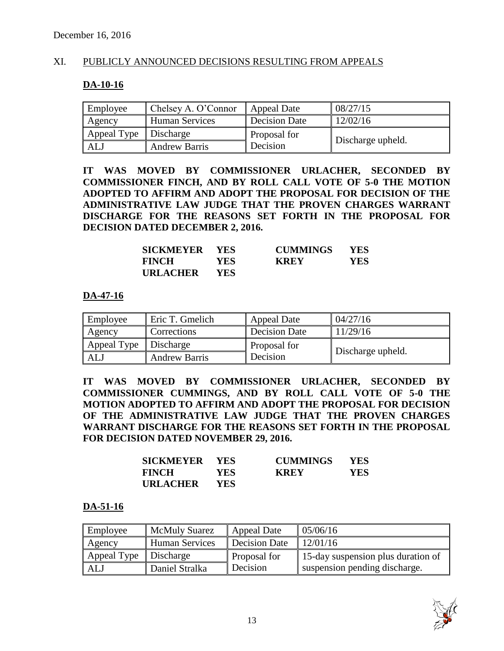# XI. PUBLICLY ANNOUNCED DECISIONS RESULTING FROM APPEALS

### **DA-10-16**

| Employee    | Chelsey A. O'Connor  | Appeal Date   | 08/27/15          |
|-------------|----------------------|---------------|-------------------|
| Agency      | Human Services       | Decision Date | 12/02/16          |
| Appeal Type | Discharge            | Proposal for  | Discharge upheld. |
| ALJ         | <b>Andrew Barris</b> | Decision      |                   |

**IT WAS MOVED BY COMMISSIONER URLACHER, SECONDED BY COMMISSIONER FINCH, AND BY ROLL CALL VOTE OF 5-0 THE MOTION ADOPTED TO AFFIRM AND ADOPT THE PROPOSAL FOR DECISION OF THE ADMINISTRATIVE LAW JUDGE THAT THE PROVEN CHARGES WARRANT DISCHARGE FOR THE REASONS SET FORTH IN THE PROPOSAL FOR DECISION DATED DECEMBER 2, 2016.**

| SICKMEYER YES   |      | <b>CUMMINGS</b> | <b>YES</b> |
|-----------------|------|-----------------|------------|
| <b>FINCH</b>    | YES- | <b>KREY</b>     | YES        |
| <b>URLACHER</b> | YES. |                 |            |

#### **DA-47-16**

| Employee    | Eric T. Gmelich      | <b>Appeal Date</b>   | 04/27/16          |
|-------------|----------------------|----------------------|-------------------|
| Agency      | Corrections          | <b>Decision Date</b> | 11/29/16          |
| Appeal Type | Discharge            | Proposal for         |                   |
| AL.         | <b>Andrew Barris</b> | Decision             | Discharge upheld. |

**IT WAS MOVED BY COMMISSIONER URLACHER, SECONDED BY COMMISSIONER CUMMINGS, AND BY ROLL CALL VOTE OF 5-0 THE MOTION ADOPTED TO AFFIRM AND ADOPT THE PROPOSAL FOR DECISION OF THE ADMINISTRATIVE LAW JUDGE THAT THE PROVEN CHARGES WARRANT DISCHARGE FOR THE REASONS SET FORTH IN THE PROPOSAL FOR DECISION DATED NOVEMBER 29, 2016.**

| SICKMEYER YES   |            | <b>CUMMINGS</b> | <b>YES</b> |
|-----------------|------------|-----------------|------------|
| <b>FINCH</b>    | YES.       | <b>KREY</b>     | YES        |
| <b>URLACHER</b> | <b>YES</b> |                 |            |

#### **DA-51-16**

| Employee    | <b>McMuly Suarez</b>  | Appeal Date   | 05/06/16                           |
|-------------|-----------------------|---------------|------------------------------------|
| Agency      | <b>Human Services</b> | Decision Date | 12/01/16                           |
| Appeal Type | Discharge             | Proposal for  | 15-day suspension plus duration of |
| ALJ         | Daniel Stralka        | Decision      | suspension pending discharge.      |

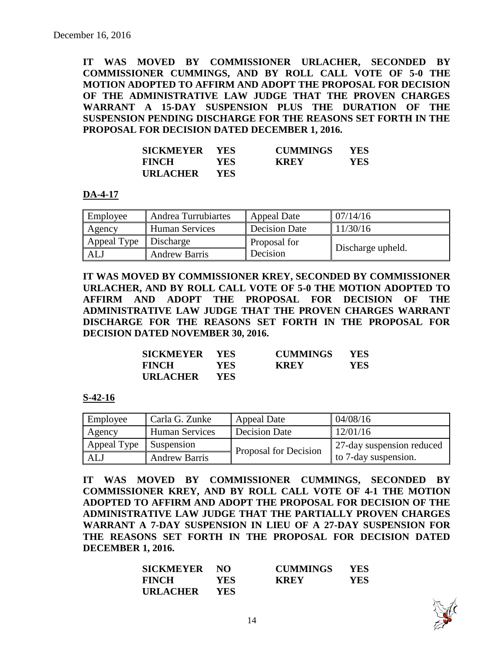**IT WAS MOVED BY COMMISSIONER URLACHER, SECONDED BY COMMISSIONER CUMMINGS, AND BY ROLL CALL VOTE OF 5-0 THE MOTION ADOPTED TO AFFIRM AND ADOPT THE PROPOSAL FOR DECISION OF THE ADMINISTRATIVE LAW JUDGE THAT THE PROVEN CHARGES WARRANT A 15-DAY SUSPENSION PLUS THE DURATION OF THE SUSPENSION PENDING DISCHARGE FOR THE REASONS SET FORTH IN THE PROPOSAL FOR DECISION DATED DECEMBER 1, 2016.**

| SICKMEYER YES   |            | <b>CUMMINGS</b> | <b>YES</b> |
|-----------------|------------|-----------------|------------|
| <b>FINCH</b>    | <b>YES</b> | <b>KREY</b>     | YES        |
| <b>URLACHER</b> | <b>YES</b> |                 |            |

**DA-4-17**

| Employee                | Andrea Turrubiartes   | Appeal Date   | 07/14/16          |
|-------------------------|-----------------------|---------------|-------------------|
| Agency                  | <b>Human Services</b> | Decision Date | 11/30/16          |
| Appeal Type   Discharge |                       | Proposal for  |                   |
| ALJ                     | <b>Andrew Barris</b>  | Decision      | Discharge upheld. |

**IT WAS MOVED BY COMMISSIONER KREY, SECONDED BY COMMISSIONER URLACHER, AND BY ROLL CALL VOTE OF 5-0 THE MOTION ADOPTED TO AFFIRM AND ADOPT THE PROPOSAL FOR DECISION OF THE ADMINISTRATIVE LAW JUDGE THAT THE PROVEN CHARGES WARRANT DISCHARGE FOR THE REASONS SET FORTH IN THE PROPOSAL FOR DECISION DATED NOVEMBER 30, 2016.**

| SICKMEYER       | <b>YES</b> | <b>CUMMINGS</b> | <b>YES</b> |
|-----------------|------------|-----------------|------------|
| <b>FINCH</b>    | YES-       | <b>KREY</b>     | YES.       |
| <b>URLACHER</b> | YES.       |                 |            |

#### **S-42-16**

| Employee    | Carla G. Zunke        | <b>Appeal Date</b>    | 04/08/16                     |
|-------------|-----------------------|-----------------------|------------------------------|
| Agency      | <b>Human Services</b> | <b>Decision Date</b>  | 12/01/16                     |
| Appeal Type | Suspension            | Proposal for Decision | 27-day suspension reduced    |
| AL.         | <b>Andrew Barris</b>  |                       | $\vert$ to 7-day suspension. |

**IT WAS MOVED BY COMMISSIONER CUMMINGS, SECONDED BY COMMISSIONER KREY, AND BY ROLL CALL VOTE OF 4-1 THE MOTION ADOPTED TO AFFIRM AND ADOPT THE PROPOSAL FOR DECISION OF THE ADMINISTRATIVE LAW JUDGE THAT THE PARTIALLY PROVEN CHARGES WARRANT A 7-DAY SUSPENSION IN LIEU OF A 27-DAY SUSPENSION FOR THE REASONS SET FORTH IN THE PROPOSAL FOR DECISION DATED DECEMBER 1, 2016.**

| <b>SICKMEYER</b> | NO.        | <b>CUMMINGS</b> | <b>YES</b> |
|------------------|------------|-----------------|------------|
| <b>FINCH</b>     | <b>YES</b> | <b>KREY</b>     | <b>YES</b> |
| <b>URLACHER</b>  | <b>YES</b> |                 |            |

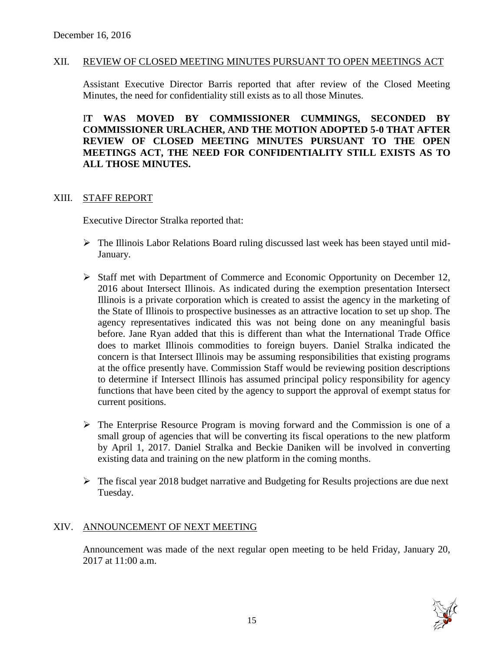#### XII. REVIEW OF CLOSED MEETING MINUTES PURSUANT TO OPEN MEETINGS ACT

Assistant Executive Director Barris reported that after review of the Closed Meeting Minutes, the need for confidentiality still exists as to all those Minutes.

I**T WAS MOVED BY COMMISSIONER CUMMINGS, SECONDED BY COMMISSIONER URLACHER, AND THE MOTION ADOPTED 5-0 THAT AFTER REVIEW OF CLOSED MEETING MINUTES PURSUANT TO THE OPEN MEETINGS ACT, THE NEED FOR CONFIDENTIALITY STILL EXISTS AS TO ALL THOSE MINUTES.**

#### XIII. STAFF REPORT

Executive Director Stralka reported that:

- The Illinois Labor Relations Board ruling discussed last week has been stayed until mid-January.
- $\triangleright$  Staff met with Department of Commerce and Economic Opportunity on December 12, 2016 about Intersect Illinois. As indicated during the exemption presentation Intersect Illinois is a private corporation which is created to assist the agency in the marketing of the State of Illinois to prospective businesses as an attractive location to set up shop. The agency representatives indicated this was not being done on any meaningful basis before. Jane Ryan added that this is different than what the International Trade Office does to market Illinois commodities to foreign buyers. Daniel Stralka indicated the concern is that Intersect Illinois may be assuming responsibilities that existing programs at the office presently have. Commission Staff would be reviewing position descriptions to determine if Intersect Illinois has assumed principal policy responsibility for agency functions that have been cited by the agency to support the approval of exempt status for current positions.
- $\triangleright$  The Enterprise Resource Program is moving forward and the Commission is one of a small group of agencies that will be converting its fiscal operations to the new platform by April 1, 2017. Daniel Stralka and Beckie Daniken will be involved in converting existing data and training on the new platform in the coming months.
- $\triangleright$  The fiscal year 2018 budget narrative and Budgeting for Results projections are due next Tuesday.

#### XIV. ANNOUNCEMENT OF NEXT MEETING

Announcement was made of the next regular open meeting to be held Friday, January 20, 2017 at 11:00 a.m.